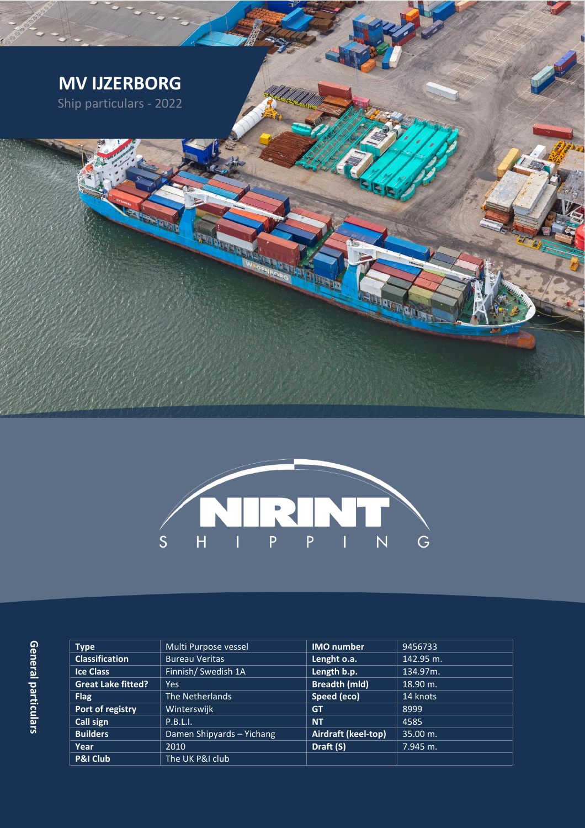



General particulars **General particulars**

| <b>Type</b>               | Multi Purpose vessel      | <b>IMO</b> number    | 9456733   |
|---------------------------|---------------------------|----------------------|-----------|
| <b>Classification</b>     | <b>Bureau Veritas</b>     | Lenght o.a.          | 142.95 m. |
| <b>Ice Class</b>          | Finnish/ Swedish 1A       | Length b.p.          | 134.97m.  |
| <b>Great Lake fitted?</b> | Yes.                      | <b>Breadth (mld)</b> | 18.90 m.  |
| <b>Flag</b>               | The Netherlands           | Speed (eco)          | 14 knots  |
| Port of registry          | Winterswijk               | <b>GT</b>            | 8999      |
| Call sign                 | P.B.L.I.                  | <b>NT</b>            | 4585      |
| <b>Builders</b>           | Damen Shipyards - Yichang | Airdraft (keel-top)  | 35.00 m.  |
| Year                      | 2010                      | Draft (S)            | 7.945 m.  |
| <b>P&amp;I Club</b>       | The UK P&I club           |                      |           |